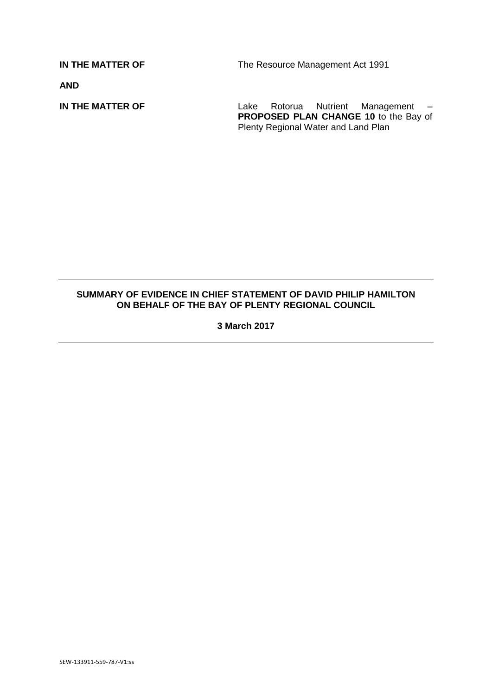**IN THE MATTER OF** The Resource Management Act 1991

**AND**

**IN THE MATTER OF Lake Rotorua Nutrient Management –** PROPOSED PLAN CHANGE 10 to the Bay of Plenty Regional Water and Land Plan

## **SUMMARY OF EVIDENCE IN CHIEF STATEMENT OF DAVID PHILIP HAMILTON ON BEHALF OF THE BAY OF PLENTY REGIONAL COUNCIL**

**3 March 2017**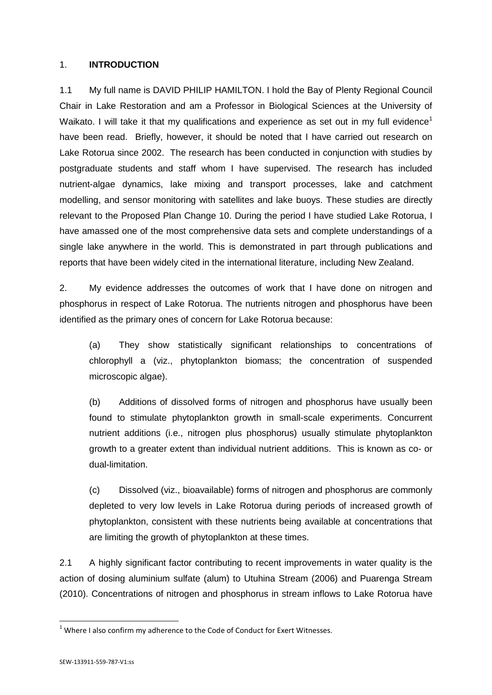## 1. **INTRODUCTION**

1.1 My full name is DAVID PHILIP HAMILTON. I hold the Bay of Plenty Regional Council Chair in Lake Restoration and am a Professor in Biological Sciences at the University of Waikato. I will take it that my qualifications and experience as set out in my full evidence<sup>1</sup> have been read. Briefly, however, it should be noted that I have carried out research on Lake Rotorua since 2002. The research has been conducted in conjunction with studies by postgraduate students and staff whom I have supervised. The research has included nutrient-algae dynamics, lake mixing and transport processes, lake and catchment modelling, and sensor monitoring with satellites and lake buoys. These studies are directly relevant to the Proposed Plan Change 10. During the period I have studied Lake Rotorua, I have amassed one of the most comprehensive data sets and complete understandings of a single lake anywhere in the world. This is demonstrated in part through publications and reports that have been widely cited in the international literature, including New Zealand.

2. My evidence addresses the outcomes of work that I have done on nitrogen and phosphorus in respect of Lake Rotorua. The nutrients nitrogen and phosphorus have been identified as the primary ones of concern for Lake Rotorua because:

(a) They show statistically significant relationships to concentrations of chlorophyll a (viz., phytoplankton biomass; the concentration of suspended microscopic algae).

(b) Additions of dissolved forms of nitrogen and phosphorus have usually been found to stimulate phytoplankton growth in small-scale experiments. Concurrent nutrient additions (i.e., nitrogen plus phosphorus) usually stimulate phytoplankton growth to a greater extent than individual nutrient additions. This is known as co- or dual-limitation.

(c) Dissolved (viz., bioavailable) forms of nitrogen and phosphorus are commonly depleted to very low levels in Lake Rotorua during periods of increased growth of phytoplankton, consistent with these nutrients being available at concentrations that are limiting the growth of phytoplankton at these times.

2.1 A highly significant factor contributing to recent improvements in water quality is the action of dosing aluminium sulfate (alum) to Utuhina Stream (2006) and Puarenga Stream (2010). Concentrations of nitrogen and phosphorus in stream inflows to Lake Rotorua have

**.** 

 $1$  Where I also confirm my adherence to the Code of Conduct for Exert Witnesses.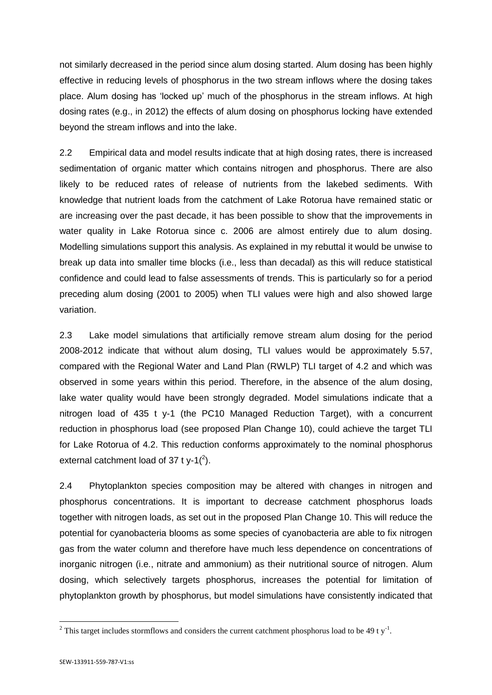not similarly decreased in the period since alum dosing started. Alum dosing has been highly effective in reducing levels of phosphorus in the two stream inflows where the dosing takes place. Alum dosing has 'locked up' much of the phosphorus in the stream inflows. At high dosing rates (e.g., in 2012) the effects of alum dosing on phosphorus locking have extended beyond the stream inflows and into the lake.

2.2 Empirical data and model results indicate that at high dosing rates, there is increased sedimentation of organic matter which contains nitrogen and phosphorus. There are also likely to be reduced rates of release of nutrients from the lakebed sediments. With knowledge that nutrient loads from the catchment of Lake Rotorua have remained static or are increasing over the past decade, it has been possible to show that the improvements in water quality in Lake Rotorua since c. 2006 are almost entirely due to alum dosing. Modelling simulations support this analysis. As explained in my rebuttal it would be unwise to break up data into smaller time blocks (i.e., less than decadal) as this will reduce statistical confidence and could lead to false assessments of trends. This is particularly so for a period preceding alum dosing (2001 to 2005) when TLI values were high and also showed large variation.

2.3 Lake model simulations that artificially remove stream alum dosing for the period 2008-2012 indicate that without alum dosing, TLI values would be approximately 5.57, compared with the Regional Water and Land Plan (RWLP) TLI target of 4.2 and which was observed in some years within this period. Therefore, in the absence of the alum dosing, lake water quality would have been strongly degraded. Model simulations indicate that a nitrogen load of 435 t y-1 (the PC10 Managed Reduction Target), with a concurrent reduction in phosphorus load (see proposed Plan Change 10), could achieve the target TLI for Lake Rotorua of 4.2. This reduction conforms approximately to the nominal phosphorus external catchment load of 37 t y-1 $(^2)$ .

2.4 Phytoplankton species composition may be altered with changes in nitrogen and phosphorus concentrations. It is important to decrease catchment phosphorus loads together with nitrogen loads, as set out in the proposed Plan Change 10. This will reduce the potential for cyanobacteria blooms as some species of cyanobacteria are able to fix nitrogen gas from the water column and therefore have much less dependence on concentrations of inorganic nitrogen (i.e., nitrate and ammonium) as their nutritional source of nitrogen. Alum dosing, which selectively targets phosphorus, increases the potential for limitation of phytoplankton growth by phosphorus, but model simulations have consistently indicated that

**.** 

<sup>&</sup>lt;sup>2</sup> This target includes stormflows and considers the current catchment phosphorus load to be 49 t y<sup>-1</sup>.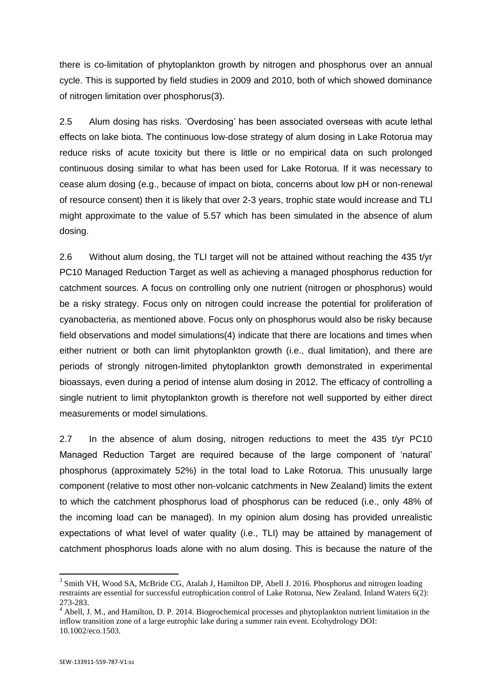there is co-limitation of phytoplankton growth by nitrogen and phosphorus over an annual cycle. This is supported by field studies in 2009 and 2010, both of which showed dominance of nitrogen limitation over phosphorus(3).

2.5 Alum dosing has risks. 'Overdosing' has been associated overseas with acute lethal effects on lake biota. The continuous low-dose strategy of alum dosing in Lake Rotorua may reduce risks of acute toxicity but there is little or no empirical data on such prolonged continuous dosing similar to what has been used for Lake Rotorua. If it was necessary to cease alum dosing (e.g., because of impact on biota, concerns about low pH or non-renewal of resource consent) then it is likely that over 2-3 years, trophic state would increase and TLI might approximate to the value of 5.57 which has been simulated in the absence of alum dosing.

2.6 Without alum dosing, the TLI target will not be attained without reaching the 435 t/yr PC10 Managed Reduction Target as well as achieving a managed phosphorus reduction for catchment sources. A focus on controlling only one nutrient (nitrogen or phosphorus) would be a risky strategy. Focus only on nitrogen could increase the potential for proliferation of cyanobacteria, as mentioned above. Focus only on phosphorus would also be risky because field observations and model simulations(4) indicate that there are locations and times when either nutrient or both can limit phytoplankton growth (i.e., dual limitation), and there are periods of strongly nitrogen-limited phytoplankton growth demonstrated in experimental bioassays, even during a period of intense alum dosing in 2012. The efficacy of controlling a single nutrient to limit phytoplankton growth is therefore not well supported by either direct measurements or model simulations.

2.7 In the absence of alum dosing, nitrogen reductions to meet the 435 t/yr PC10 Managed Reduction Target are required because of the large component of 'natural' phosphorus (approximately 52%) in the total load to Lake Rotorua. This unusually large component (relative to most other non-volcanic catchments in New Zealand) limits the extent to which the catchment phosphorus load of phosphorus can be reduced (i.e., only 48% of the incoming load can be managed). In my opinion alum dosing has provided unrealistic expectations of what level of water quality (i.e., TLI) may be attained by management of catchment phosphorus loads alone with no alum dosing. This is because the nature of the

1

<sup>&</sup>lt;sup>3</sup> Smith VH, Wood SA, McBride CG, Atalah J, Hamilton DP, Abell J. 2016. Phosphorus and nitrogen loading restraints are essential for successful eutrophication control of Lake Rotorua, New Zealand. Inland Waters 6(2): 273-283.

<sup>&</sup>lt;sup>4</sup> Abell, J. M., and Hamilton, D. P. 2014. Biogeochemical processes and phytoplankton nutrient limitation in the inflow transition zone of a large eutrophic lake during a summer rain event. Ecohydrology DOI: 10.1002/eco.1503.